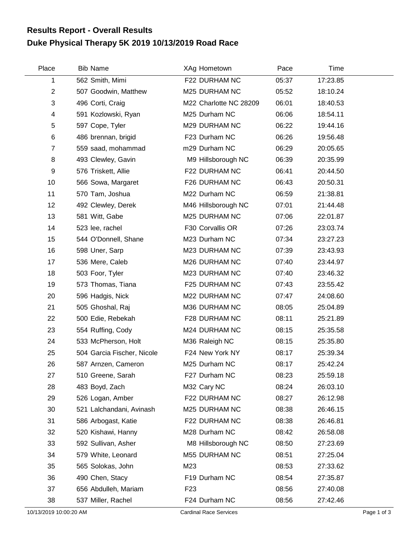## **Duke Physical Therapy 5K 2019 10/13/2019 Road Race Results Report - Overall Results**

| Place                  | <b>Bib Name</b>            | XAg Hometown                  | Pace  | Time     |             |
|------------------------|----------------------------|-------------------------------|-------|----------|-------------|
| 1                      | 562 Smith, Mimi            | F22 DURHAM NC                 | 05:37 | 17:23.85 |             |
| $\overline{2}$         | 507 Goodwin, Matthew       | M25 DURHAM NC                 | 05:52 | 18:10.24 |             |
| 3                      | 496 Corti, Craig           | M22 Charlotte NC 28209        | 06:01 | 18:40.53 |             |
| 4                      | 591 Kozlowski, Ryan        | M25 Durham NC                 | 06:06 | 18:54.11 |             |
| 5                      | 597 Cope, Tyler            | M29 DURHAM NC                 | 06:22 | 19:44.16 |             |
| $\,6$                  | 486 brennan, brigid        | F23 Durham NC                 | 06:26 | 19:56.48 |             |
| $\overline{7}$         | 559 saad, mohammad         | m29 Durham NC                 | 06:29 | 20:05.65 |             |
| 8                      | 493 Clewley, Gavin         | M9 Hillsborough NC            | 06:39 | 20:35.99 |             |
| 9                      | 576 Triskett, Allie        | F22 DURHAM NC                 | 06:41 | 20:44.50 |             |
| 10                     | 566 Sowa, Margaret         | F26 DURHAM NC                 | 06:43 | 20:50.31 |             |
| 11                     | 570 Tam, Joshua            | M22 Durham NC                 | 06:59 | 21:38.81 |             |
| 12                     | 492 Clewley, Derek         | M46 Hillsborough NC           | 07:01 | 21:44.48 |             |
| 13                     | 581 Witt, Gabe             | M25 DURHAM NC                 | 07:06 | 22:01.87 |             |
| 14                     | 523 lee, rachel            | F30 Corvallis OR              | 07:26 | 23:03.74 |             |
| 15                     | 544 O'Donnell, Shane       | M23 Durham NC                 | 07:34 | 23:27.23 |             |
| 16                     | 598 Uner, Sarp             | M23 DURHAM NC                 | 07:39 | 23:43.93 |             |
| 17                     | 536 Mere, Caleb            | M26 DURHAM NC                 | 07:40 | 23:44.97 |             |
| 18                     | 503 Foor, Tyler            | M23 DURHAM NC                 | 07:40 | 23:46.32 |             |
| 19                     | 573 Thomas, Tiana          | F25 DURHAM NC                 | 07:43 | 23:55.42 |             |
| 20                     | 596 Hadgis, Nick           | M22 DURHAM NC                 | 07:47 | 24:08.60 |             |
| 21                     | 505 Ghoshal, Raj           | M36 DURHAM NC                 | 08:05 | 25:04.89 |             |
| 22                     | 500 Edie, Rebekah          | F28 DURHAM NC                 | 08:11 | 25:21.89 |             |
| 23                     | 554 Ruffing, Cody          | M24 DURHAM NC                 | 08:15 | 25:35.58 |             |
| 24                     | 533 McPherson, Holt        | M36 Raleigh NC                | 08:15 | 25:35.80 |             |
| 25                     | 504 Garcia Fischer, Nicole | F24 New York NY               | 08:17 | 25:39.34 |             |
| 26                     | 587 Arnzen, Cameron        | M25 Durham NC                 | 08:17 | 25:42.24 |             |
| 27                     | 510 Greene, Sarah          | F27 Durham NC                 | 08:23 | 25:59.18 |             |
| 28                     | 483 Boyd, Zach             | M32 Cary NC                   | 08:24 | 26:03.10 |             |
| 29                     | 526 Logan, Amber           | F22 DURHAM NC                 | 08:27 | 26:12.98 |             |
| 30                     | 521 Lalchandani, Avinash   | M25 DURHAM NC                 | 08:38 | 26:46.15 |             |
| 31                     | 586 Arbogast, Katie        | F22 DURHAM NC                 | 08:38 | 26:46.81 |             |
| 32                     | 520 Kishawi, Hanny         | M28 Durham NC                 | 08:42 | 26:58.08 |             |
| 33                     | 592 Sullivan, Asher        | M8 Hillsborough NC            | 08:50 | 27:23.69 |             |
| 34                     | 579 White, Leonard         | M55 DURHAM NC                 | 08:51 | 27:25.04 |             |
| 35                     | 565 Solokas, John          | M23                           | 08:53 | 27:33.62 |             |
| 36                     | 490 Chen, Stacy            | F19 Durham NC                 | 08:54 | 27:35.87 |             |
| 37                     | 656 Abdulleh, Mariam       | F <sub>23</sub>               | 08:56 | 27:40.08 |             |
| 38                     | 537 Miller, Rachel         | F24 Durham NC                 | 08:56 | 27:42.46 |             |
| 10/13/2019 10:00:20 AM |                            | <b>Cardinal Race Services</b> |       |          | Page 1 of 3 |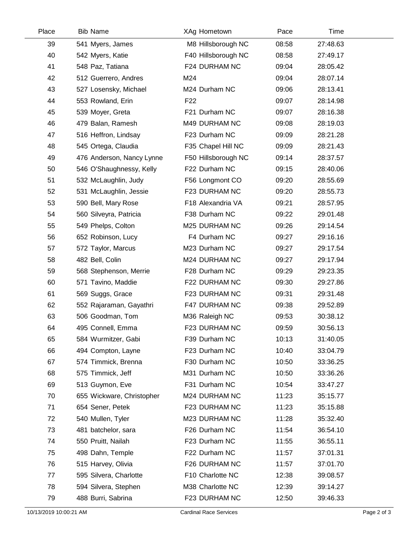| Place | <b>Bib Name</b>           | XAg Hometown        | Pace  | Time     |  |
|-------|---------------------------|---------------------|-------|----------|--|
| 39    | 541 Myers, James          | M8 Hillsborough NC  | 08:58 | 27:48.63 |  |
| 40    | 542 Myers, Katie          | F40 Hillsborough NC | 08:58 | 27:49.17 |  |
| 41    | 548 Paz, Tatiana          | F24 DURHAM NC       | 09:04 | 28:05.42 |  |
| 42    | 512 Guerrero, Andres      | M24                 | 09:04 | 28:07.14 |  |
| 43    | 527 Losensky, Michael     | M24 Durham NC       | 09:06 | 28:13.41 |  |
| 44    | 553 Rowland, Erin         | F <sub>22</sub>     | 09:07 | 28:14.98 |  |
| 45    | 539 Moyer, Greta          | F21 Durham NC       | 09:07 | 28:16.38 |  |
| 46    | 479 Balan, Ramesh         | M49 DURHAM NC       | 09:08 | 28:19.03 |  |
| 47    | 516 Heffron, Lindsay      | F23 Durham NC       | 09:09 | 28:21.28 |  |
| 48    | 545 Ortega, Claudia       | F35 Chapel Hill NC  | 09:09 | 28:21.43 |  |
| 49    | 476 Anderson, Nancy Lynne | F50 Hillsborough NC | 09:14 | 28:37.57 |  |
| 50    | 546 O'Shaughnessy, Kelly  | F22 Durham NC       | 09:15 | 28:40.06 |  |
| 51    | 532 McLaughlin, Judy      | F56 Longmont CO     | 09:20 | 28:55.69 |  |
| 52    | 531 McLaughlin, Jessie    | F23 DURHAM NC       | 09:20 | 28:55.73 |  |
| 53    | 590 Bell, Mary Rose       | F18 Alexandria VA   | 09:21 | 28:57.95 |  |
| 54    | 560 Silveyra, Patricia    | F38 Durham NC       | 09:22 | 29:01.48 |  |
| 55    | 549 Phelps, Colton        | M25 DURHAM NC       | 09:26 | 29:14.54 |  |
| 56    | 652 Robinson, Lucy        | F4 Durham NC        | 09:27 | 29:16.16 |  |
| 57    | 572 Taylor, Marcus        | M23 Durham NC       | 09:27 | 29:17.54 |  |
| 58    | 482 Bell, Colin           | M24 DURHAM NC       | 09:27 | 29:17.94 |  |
| 59    | 568 Stephenson, Merrie    | F28 Durham NC       | 09:29 | 29:23.35 |  |
| 60    | 571 Tavino, Maddie        | F22 DURHAM NC       | 09:30 | 29:27.86 |  |
| 61    | 569 Suggs, Grace          | F23 DURHAM NC       | 09:31 | 29:31.48 |  |
| 62    | 552 Rajaraman, Gayathri   | F47 DURHAM NC       | 09:38 | 29:52.89 |  |
| 63    | 506 Goodman, Tom          | M36 Raleigh NC      | 09:53 | 30:38.12 |  |
| 64    | 495 Connell, Emma         | F23 DURHAM NC       | 09:59 | 30:56.13 |  |
| 65    | 584 Wurmitzer, Gabi       | F39 Durham NC       | 10:13 | 31:40.05 |  |
| 66    | 494 Compton, Layne        | F23 Durham NC       | 10:40 | 33:04.79 |  |
| 67    | 574 Timmick, Brenna       | F30 Durham NC       | 10:50 | 33:36.25 |  |
| 68    | 575 Timmick, Jeff         | M31 Durham NC       | 10:50 | 33:36.26 |  |
| 69    | 513 Guymon, Eve           | F31 Durham NC       | 10:54 | 33:47.27 |  |
| 70    | 655 Wickware, Christopher | M24 DURHAM NC       | 11:23 | 35:15.77 |  |
| 71    | 654 Sener, Petek          | F23 DURHAM NC       | 11:23 | 35:15.88 |  |
| 72    | 540 Mullen, Tyler         | M23 DURHAM NC       | 11:28 | 35:32.40 |  |
| 73    | 481 batchelor, sara       | F26 Durham NC       | 11:54 | 36:54.10 |  |
| 74    | 550 Pruitt, Nailah        | F23 Durham NC       | 11:55 | 36:55.11 |  |
| 75    | 498 Dahn, Temple          | F22 Durham NC       | 11:57 | 37:01.31 |  |
| 76    | 515 Harvey, Olivia        | F26 DURHAM NC       | 11:57 | 37:01.70 |  |
| 77    | 595 Silvera, Charlotte    | F10 Charlotte NC    | 12:38 | 39:08.57 |  |
| 78    | 594 Silvera, Stephen      | M38 Charlotte NC    | 12:39 | 39:14.27 |  |
| 79    | 488 Burri, Sabrina        | F23 DURHAM NC       | 12:50 | 39:46.33 |  |